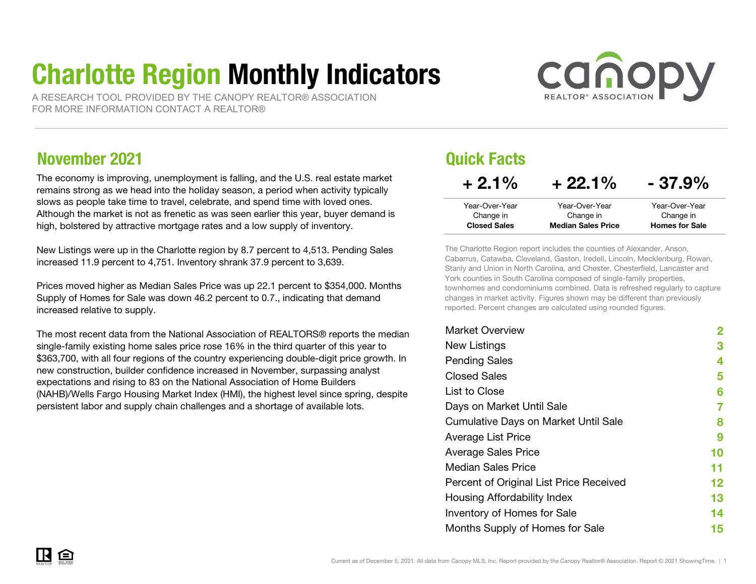# Charlotte Region Monthly Indicators

A RESEARCH TOOL PROVIDED BY THE CANOPY REALTOR® ASSOCIATIONFOR MORE INFORMATION CONTACT A REALTOR®



### November 2021

The economy is improving, unemployment is falling, and the U.S. real estate market remains strong as we head into the holiday season, a period when activity typically slows as people take time to travel, celebrate, and spend time with loved ones. Although the market is not as frenetic as was seen earlier this year, buyer demand is high, bolstered by attractive mortgage rates and a low supply of inventory.

New Listings were up in the Charlotte region by 8.7 percent to 4,513. Pending Sales increased 11.9 percent to 4,751. Inventory shrank 37.9 percent to 3,639.

Prices moved higher as Median Sales Price was up 22.1 percent to \$354,000. Months Supply of Homes for Sale was down 46.2 percent to 0.7., indicating that demand increased relative to supply.

The most recent data from the National Association of REALTORS® reports the median single-family existing home sales price rose 16% in the third quarter of this year to \$363,700, with all four regions of the country experiencing double-digit price growth. In new construction, builder confidence increased in November, surpassing analyst expectations and rising to 83 on the National Association of Home Builders (NAHB)/Wells Fargo Housing Market Index (HMI), the highest level since spring, despite persistent labor and supply chain challenges and a shortage of available lots.

#### Quick Facts Year-Over-YearChange in Year-Over-YearChange in Closed Sales Median Sales PriceHomes for Sale $+ 2.1\%$  $+22.1\% - 37.9\%$ Year-Over-YearChange in

The Charlotte Region report includes the counties of Alexander, Anson, Cabarrus, Catawba, Cleveland, Gaston, Iredell, Lincoln, Mecklenburg, Rowan, Stanly and Union in North Carolina, and Chester, Chesterfield, Lancaster and York counties in South Carolina composed of single-family properties, townhomes and condominiums combined. Data is refreshed regularly to capture changes in market activity. Figures shown may be different than previously reported. Percent changes are calculated using rounded figures.

| <b>Market Overview</b>                      | 2  |
|---------------------------------------------|----|
| New Listings                                | З  |
| <b>Pending Sales</b>                        | 4  |
| <b>Closed Sales</b>                         | 5  |
| List to Close                               | 6  |
| Days on Market Until Sale                   | 7  |
| <b>Cumulative Days on Market Until Sale</b> | 8  |
| Average List Price                          | 9  |
| <b>Average Sales Price</b>                  | 10 |
| Median Sales Price                          | 11 |
| Percent of Original List Price Received     | 12 |
| Housing Affordability Index                 | 13 |
| Inventory of Homes for Sale                 | 14 |
| Months Supply of Homes for Sale             | 15 |
|                                             |    |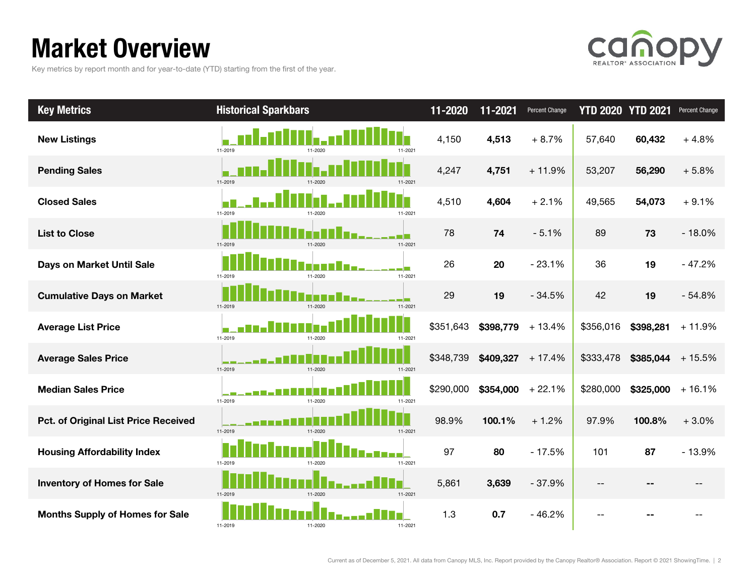# Market Overview

Key metrics by report month and for year-to-date (YTD) starting from the first of the year.



| <b>Key Metrics</b>                          | <b>Historical Sparkbars</b> | 11-2020              | 11-2021   | Percent Change     | <b>YTD 2020 YTD 2021</b> |                    | Percent Change |
|---------------------------------------------|-----------------------------|----------------------|-----------|--------------------|--------------------------|--------------------|----------------|
| <b>New Listings</b>                         | 11-2019<br>11-2020          | 4,150<br>11-2021     | 4,513     | $+8.7%$            | 57,640                   | 60,432             | $+4.8%$        |
| <b>Pending Sales</b>                        | 11-2019<br>11-2020          | 4,247<br>11-2021     | 4,751     | $+11.9%$           | 53,207                   | 56,290             | $+5.8%$        |
| <b>Closed Sales</b>                         | 11-2019                     | 4,510<br>11-2021     | 4,604     | $+2.1%$            | 49,565                   | 54,073             | $+9.1%$        |
| <b>List to Close</b>                        | 11-2019<br>11-2020          | 78<br>11-2021        | 74        | $-5.1%$            | 89                       | 73                 | $-18.0%$       |
| Days on Market Until Sale                   | 11-2020<br>11-2019          | 26<br>11-2021        | 20        | $-23.1%$           | 36                       | 19                 | $-47.2%$       |
| <b>Cumulative Days on Market</b>            | 11-2019<br>11-2020          | 29<br>11-2021        | 19        | $-34.5%$           | 42                       | 19                 | $-54.8%$       |
| <b>Average List Price</b>                   | 11-2019<br>11-2020          | \$351,643<br>11-2021 | \$398,779 | $+13.4%$           | \$356,016                | \$398,281          | $+11.9%$       |
| <b>Average Sales Price</b>                  | 11-2020<br>11-2019          | \$348,739<br>11-2021 |           | $$409,327$ + 17.4% | \$333,478                | $$385,044$ + 15.5% |                |
| <b>Median Sales Price</b>                   | 11-2019<br>11-2020          | \$290,000<br>11-2021 | \$354,000 | $+22.1%$           | \$280,000                | \$325,000          | $+16.1%$       |
| <b>Pct. of Original List Price Received</b> | 11-2019<br>11-2020          | 98.9%<br>11-2021     | 100.1%    | $+1.2%$            | 97.9%                    | 100.8%             | $+3.0%$        |
| <b>Housing Affordability Index</b>          | 11-2019<br>11-2020          | 97<br>11-2021        | 80        | $-17.5%$           | 101                      | 87                 | $-13.9%$       |
| <b>Inventory of Homes for Sale</b>          | 11-2019<br>11-2020          | 5,861<br>11-2021     | 3,639     | $-37.9%$           | $- -$                    |                    | --             |
| <b>Months Supply of Homes for Sale</b>      | 11-2019<br>11-2020          | 1.3<br>11-2021       | 0.7       | $-46.2%$           | --                       |                    |                |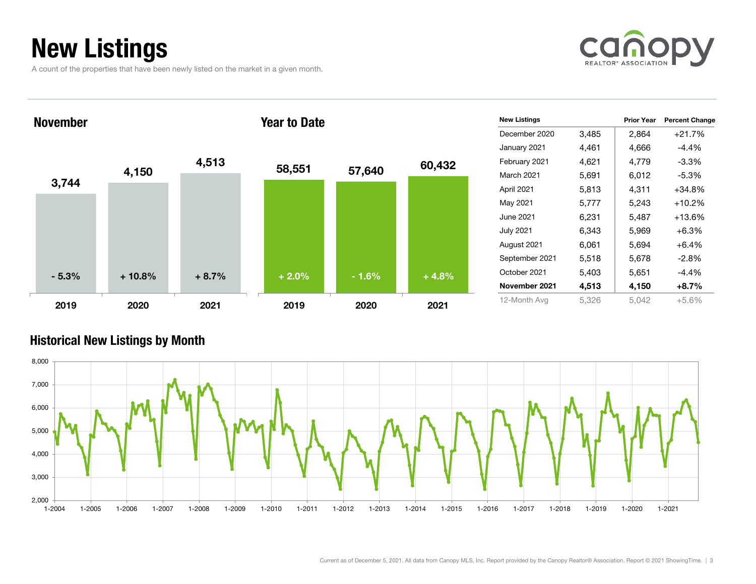# New Listings

A count of the properties that have been newly listed on the market in a given month.





#### Historical New Listings by Month

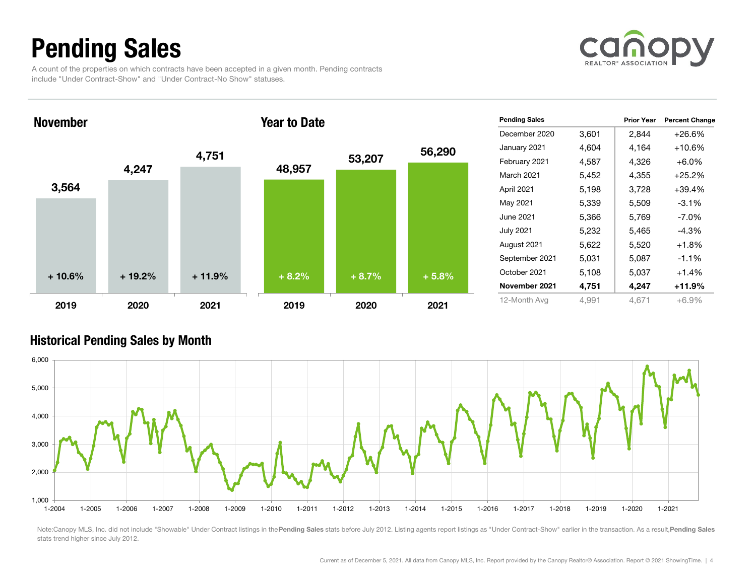# Pending Sales

A count of the properties on which contracts have been accepted in a given month. Pending contracts include "Under Contract-Show" and "Under Contract-No Show" statuses.



November

#### Year to Date



| <b>Pending Sales</b> |       | <b>Prior Year</b> | <b>Percent Change</b> |
|----------------------|-------|-------------------|-----------------------|
| December 2020        | 3,601 | 2,844             | +26.6%                |
| January 2021         | 4,604 | 4,164             | +10.6%                |
| February 2021        | 4,587 | 4,326             | $+6.0\%$              |
| <b>March 2021</b>    | 5,452 | 4,355             | $+25.2%$              |
| April 2021           | 5,198 | 3,728             | +39.4%                |
| May 2021             | 5,339 | 5,509             | $-3.1%$               |
| June 2021            | 5,366 | 5,769             | $-7.0\%$              |
| <b>July 2021</b>     | 5,232 | 5,465             | $-4.3%$               |
| August 2021          | 5,622 | 5,520             | $+1.8%$               |
| September 2021       | 5,031 | 5,087             | $-1.1%$               |
| October 2021         | 5,108 | 5,037             | $+1.4%$               |
| November 2021        | 4,751 | 4,247             | +11.9%                |
| 12-Month Avg         | 4,991 | 4.671             | $+6.9%$               |

#### Historical Pending Sales by Month



Note:Canopy MLS, Inc. did not include "Showable" Under Contract listings in the Pending Sales stats before July 2012. Listing agents report listings as "Under Contract-Show" earlier in the transaction. As a result, Pending stats trend higher since July 2012.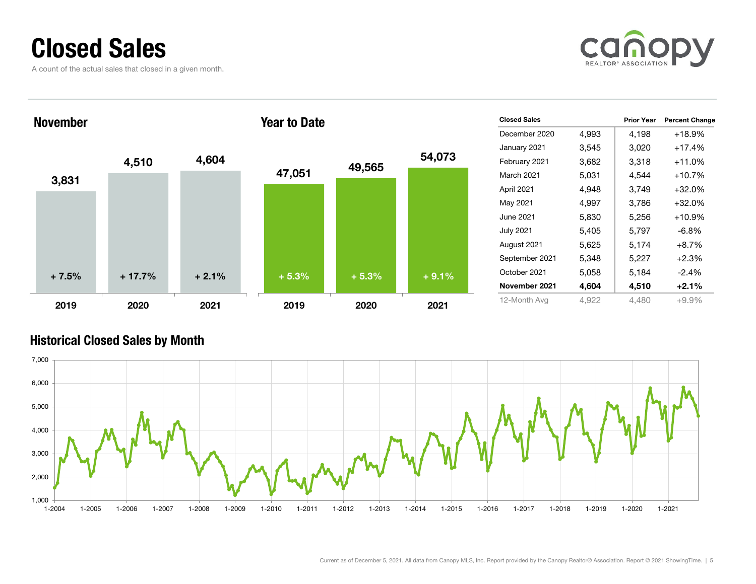### Closed Sales

A count of the actual sales that closed in a given month.





#### Historical Closed Sales by Month

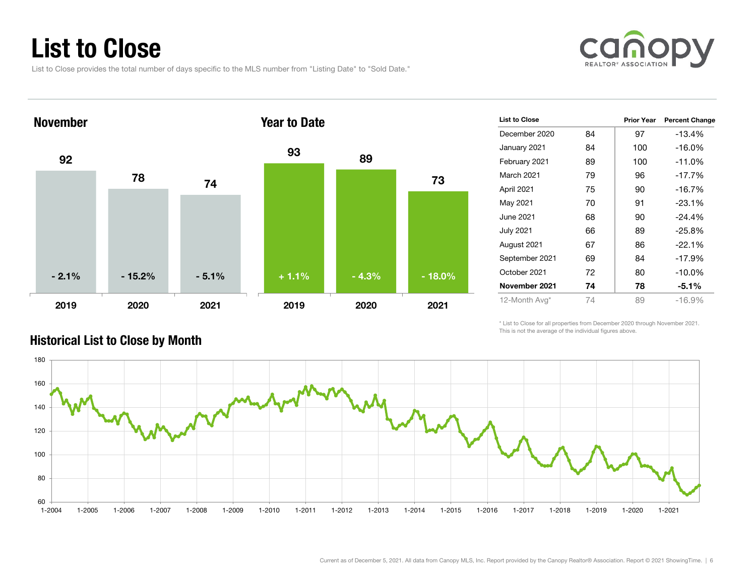# List to Close

List to Close provides the total number of days specific to the MLS number from "Listing Date" to "Sold Date."





| <b>List to Close</b> |    | <b>Prior Year</b> | <b>Percent Change</b> |
|----------------------|----|-------------------|-----------------------|
| December 2020        | 84 | 97                | $-13.4%$              |
| January 2021         | 84 | 100               | $-16.0%$              |
| February 2021        | 89 | 100               | $-11.0%$              |
| <b>March 2021</b>    | 79 | 96                | $-17.7%$              |
| April 2021           | 75 | 90                | $-16.7%$              |
| May 2021             | 70 | 91                | $-23.1%$              |
| June 2021            | 68 | 90                | $-24.4%$              |
| <b>July 2021</b>     | 66 | 89                | $-25.8%$              |
| August 2021          | 67 | 86                | $-22.1%$              |
| September 2021       | 69 | 84                | $-17.9%$              |
| October 2021         | 72 | 80                | $-10.0\%$             |
| November 2021        | 74 | 78                | $-5.1%$               |
| 12-Month Avg*        | 74 | 89                | $-16.9%$              |

Historical List to Close by Month

\* List to Close for all properties from December 2020 through November 2021. This is not the average of the individual figures above.

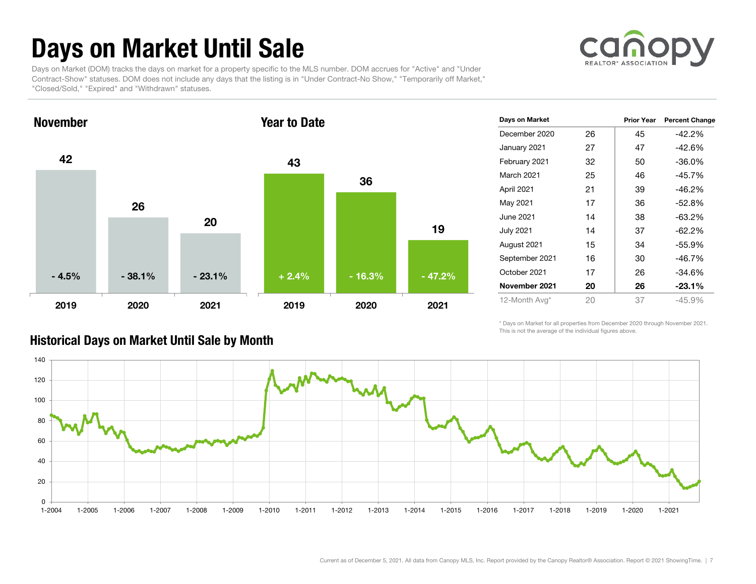# Days on Market Until Sale

**REALTOR® ASSOCI** 

Days on Market (DOM) tracks the days on market for a property specific to the MLS number. DOM accrues for "Active" and "Under Contract-Show" statuses. DOM does not include any days that the listing is in "Under Contract-No Show," "Temporarily off Market," "Closed/Sold," "Expired" and "Withdrawn" statuses.



| Days on Market   |    | Prior Year | <b>Percent Change</b> |
|------------------|----|------------|-----------------------|
| December 2020    | 26 | 45         | -42.2%                |
| January 2021     | 27 | 47         | $-42.6%$              |
| February 2021    | 32 | 50         | $-36.0%$              |
| March 2021       | 25 | 46         | -45.7%                |
| April 2021       | 21 | 39         | -46.2%                |
| May 2021         | 17 | 36         | $-52.8%$              |
| June 2021        | 14 | 38         | $-63.2%$              |
| <b>July 2021</b> | 14 | 37         | $-62.2%$              |
| August 2021      | 15 | 34         | -55.9%                |
| September 2021   | 16 | 30         | $-46.7%$              |
| October 2021     | 17 | 26         | -34.6%                |
| November 2021    | 20 | 26         | $-23.1%$              |
| 12-Month Avg*    | 20 | 37         | $-45.9%$              |

#### Historical Days on Market Until Sale by Month

\* Days on Market for all properties from December 2020 through November 2021. This is not the average of the individual figures above.

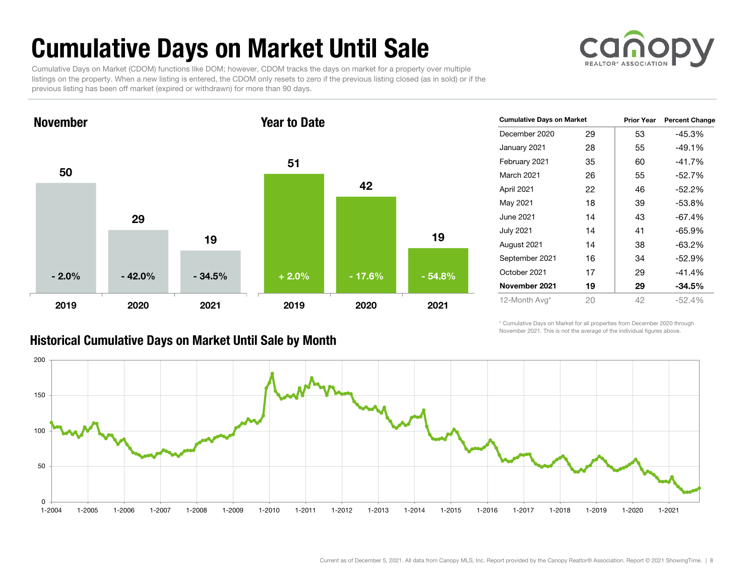# Cumulative Days on Market Until Sale



Cumulative Days on Market (CDOM) functions like DOM; however, CDOM tracks the days on market for a property over multiple listings on the property. When a new listing is entered, the CDOM only resets to zero if the previous listing closed (as in sold) or if the previous listing has been off market (expired or withdrawn) for more than 90 days.



#### Historical Cumulative Days on Market Until Sale by Month

| <b>Cumulative Days on Market</b> |    | Prior Year | <b>Percent Change</b> |  |
|----------------------------------|----|------------|-----------------------|--|
| December 2020                    | 29 | 53         | -45.3%                |  |
| January 2021                     | 28 | 55         | $-49.1%$              |  |
| February 2021                    | 35 | 60         | $-41.7%$              |  |
| <b>March 2021</b>                | 26 | 55         | $-52.7%$              |  |
| April 2021                       | 22 | 46         | $-52.2%$              |  |
| May 2021                         | 18 | 39         | $-53.8%$              |  |
| June 2021                        | 14 | 43         | $-67.4%$              |  |
| <b>July 2021</b>                 | 14 | 41         | -65.9%                |  |
| August 2021                      | 14 | 38         | $-63.2%$              |  |
| September 2021                   | 16 | 34         | $-52.9%$              |  |
| October 2021                     | 17 | 29         | $-41.4%$              |  |
| November 2021                    | 19 | 29         | $-34.5%$              |  |
| 12-Month Avg*                    | 20 | 42         | $-52.4%$              |  |

\* Cumulative Days on Market for all properties from December 2020 through November 2021. This is not the average of the individual figures above.

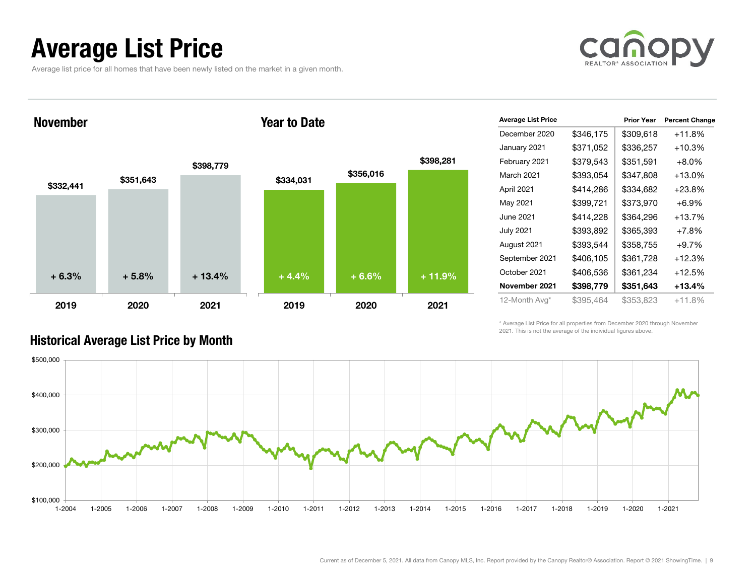### Average List Price

Average list price for all homes that have been newly listed on the market in a given month.



November

#### Year to Date



| <b>Average List Price</b> |           | <b>Prior Year</b> | <b>Percent Change</b> |
|---------------------------|-----------|-------------------|-----------------------|
| December 2020             | \$346,175 | \$309,618         | +11.8%                |
| January 2021              | \$371,052 | \$336,257         | +10.3%                |
| February 2021             | \$379,543 | \$351,591         | $+8.0%$               |
| March 2021                | \$393,054 | \$347,808         | +13.0%                |
| April 2021                | \$414,286 | \$334,682         | $+23.8%$              |
| May 2021                  | \$399,721 | \$373,970         | $+6.9%$               |
| June 2021                 | \$414,228 | \$364,296         | +13.7%                |
| <b>July 2021</b>          | \$393,892 | \$365,393         | $+7.8%$               |
| August 2021               | \$393,544 | \$358,755         | $+9.7%$               |
| September 2021            | \$406,105 | \$361,728         | +12.3%                |
| October 2021              | \$406,536 | \$361,234         | +12.5%                |
| November 2021             | \$398,779 | \$351,643         | +13.4%                |
| 12-Month Avg*             | \$395,464 | \$353,823         | $+11.8%$              |

\* Average List Price for all properties from December 2020 through November 2021. This is not the average of the individual figures above.



#### Historical Average List Price by Month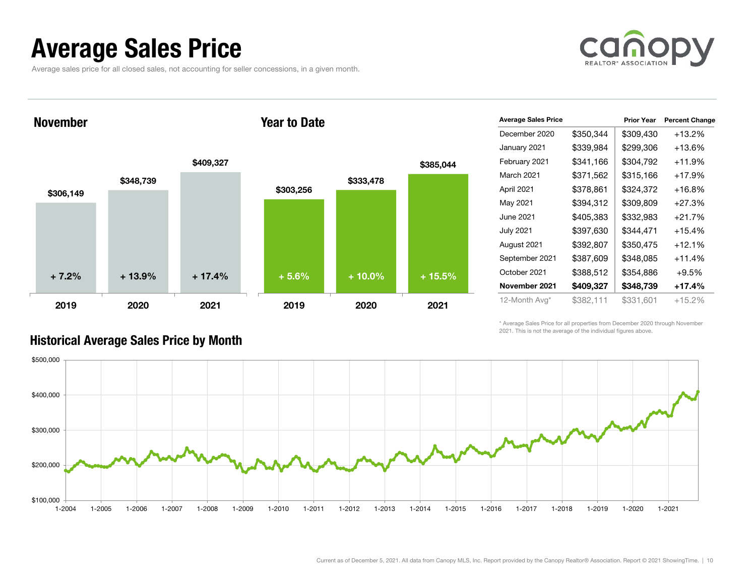### Average Sales Price

Average sales price for all closed sales, not accounting for seller concessions, in a given month.



November

#### Year to Date



| <b>Average Sales Price</b> |           | <b>Prior Year</b> | <b>Percent Change</b> |
|----------------------------|-----------|-------------------|-----------------------|
| December 2020              | \$350,344 | \$309,430         | $+13.2%$              |
| January 2021               | \$339,984 | \$299,306         | $+13.6%$              |
| February 2021              | \$341,166 | \$304,792         | $+11.9%$              |
| <b>March 2021</b>          | \$371,562 | \$315,166         | $+17.9%$              |
| April 2021                 | \$378,861 | \$324,372         | $+16.8%$              |
| May 2021                   | \$394,312 | \$309,809         | $+27.3%$              |
| June 2021                  | \$405,383 | \$332,983         | $+21.7%$              |
| <b>July 2021</b>           | \$397,630 | \$344,471         | $+15.4%$              |
| August 2021                | \$392,807 | \$350,475         | $+12.1%$              |
| September 2021             | \$387,609 | \$348,085         | $+11.4%$              |
| October 2021               | \$388,512 | \$354,886         | $+9.5%$               |
| November 2021              | \$409,327 | \$348,739         | +17.4%                |
| 12-Month Avg*              | \$382,111 | \$331,601         | $+15.2%$              |

\* Average Sales Price for all properties from December 2020 through November 2021. This is not the average of the individual figures above.



#### Historical Average Sales Price by Month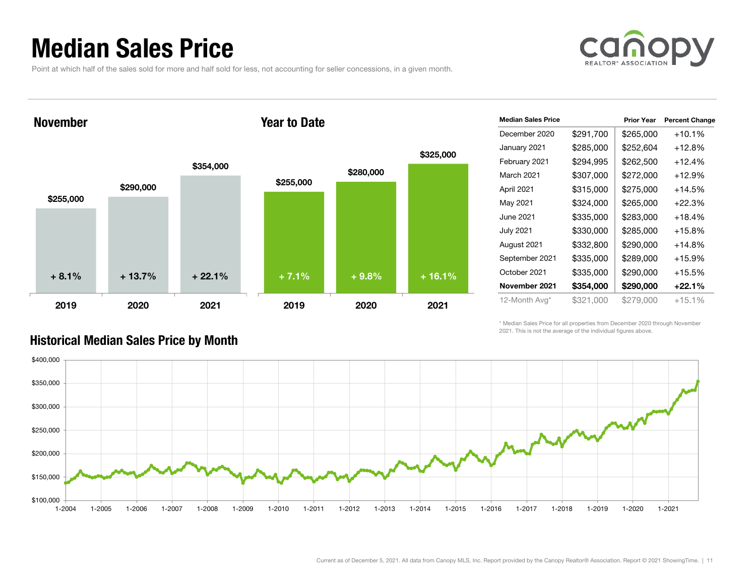### Median Sales Price

Point at which half of the sales sold for more and half sold for less, not accounting for seller concessions, in a given month.



November

#### Year to Date



| <b>Median Sales Price</b> |           | <b>Prior Year</b> | <b>Percent Change</b> |
|---------------------------|-----------|-------------------|-----------------------|
| December 2020             | \$291,700 | \$265,000         | $+10.1%$              |
| January 2021              | \$285,000 | \$252,604         | $+12.8%$              |
| February 2021             | \$294,995 | \$262,500         | $+12.4%$              |
| March 2021                | \$307,000 | \$272,000         | $+12.9%$              |
| April 2021                | \$315,000 | \$275,000         | $+14.5%$              |
| May 2021                  | \$324,000 | \$265,000         | $+22.3%$              |
| June 2021                 | \$335,000 | \$283,000         | $+18.4%$              |
| <b>July 2021</b>          | \$330,000 | \$285,000         | $+15.8%$              |
| August 2021               | \$332,800 | \$290,000         | +14.8%                |
| September 2021            | \$335,000 | \$289,000         | $+15.9%$              |
| October 2021              | \$335,000 | \$290,000         | $+15.5%$              |
| November 2021             | \$354,000 | \$290,000         | $+22.1%$              |
| 12-Month Avg*             | \$321,000 | \$279,000         | $+15.1%$              |

\* Median Sales Price for all properties from December 2020 through November 2021. This is not the average of the individual figures above.



#### Historical Median Sales Price by Month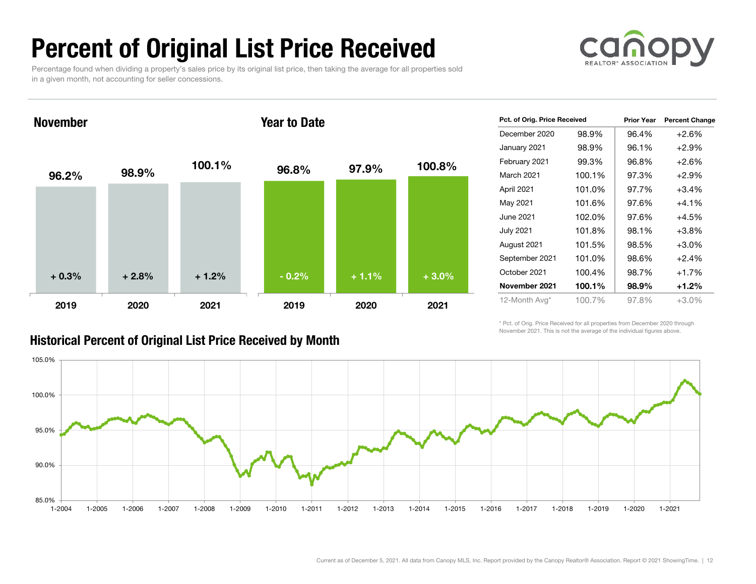# Percent of Original List Price Received

Percentage found when dividing a property's sales price by its original list price, then taking the average for all properties sold in a given month, not accounting for seller concessions.



November

#### Year to Date



#### Historical Percent of Original List Price Received by Month

| Pct. of Orig. Price Received |        | <b>Prior Year</b> | <b>Percent Change</b> |
|------------------------------|--------|-------------------|-----------------------|
| December 2020                | 98.9%  | 96.4%             | $+2.6%$               |
| January 2021                 | 98.9%  | 96.1%             | $+2.9\%$              |
| February 2021                | 99.3%  | 96.8%             | $+2.6%$               |
| <b>March 2021</b>            | 100.1% | 97.3%             | $+2.9%$               |
| April 2021                   | 101.0% | 97.7%             | $+3.4%$               |
| May 2021                     | 101.6% | 97.6%             | $+4.1%$               |
| June 2021                    | 102.0% | 97.6%             | $+4.5%$               |
| <b>July 2021</b>             | 101.8% | 98.1%             | $+3.8%$               |
| August 2021                  | 101.5% | 98.5%             | $+3.0%$               |
| September 2021               | 101.0% | 98.6%             | $+2.4%$               |
| October 2021                 | 100.4% | 98.7%             | $+1.7%$               |
| November 2021                | 100.1% | 98.9%             | $+1.2%$               |
| 12-Month Avg*                | 100.7% | 97.8%             | +3.0%                 |

\* Pct. of Orig. Price Received for all properties from December 2020 through November 2021. This is not the average of the individual figures above.

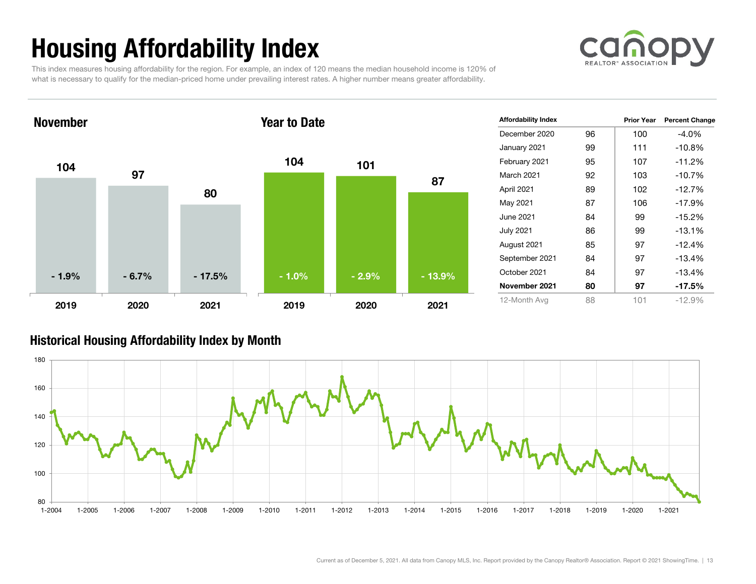# Housing Affordability Index



This index measures housing affordability for the region. For example, an index of 120 means the median household income is 120% of what is necessary to qualify for the median-priced home under prevailing interest rates. A higher number means greater affordability.



| <b>Affordability Index</b> |    | <b>Prior Year</b> | <b>Percent Change</b> |
|----------------------------|----|-------------------|-----------------------|
| December 2020              | 96 | 100               | $-4.0\%$              |
| January 2021               | 99 | 111               | $-10.8%$              |
| February 2021              | 95 | 107               | $-11.2%$              |
| March 2021                 | 92 | 103               | $-10.7%$              |
| April 2021                 | 89 | 102               | $-12.7%$              |
| May 2021                   | 87 | 106               | $-17.9%$              |
| June 2021                  | 84 | 99                | $-15.2%$              |
| <b>July 2021</b>           | 86 | 99                | $-13.1%$              |
| August 2021                | 85 | 97                | $-12.4%$              |
| September 2021             | 84 | 97                | $-13.4%$              |
| October 2021               | 84 | 97                | $-13.4%$              |
| November 2021              | 80 | 97                | $-17.5%$              |
| 12-Month Avg               | 88 | 101               | $-12.9%$              |

#### Historical Housing Affordability Index by Mont h

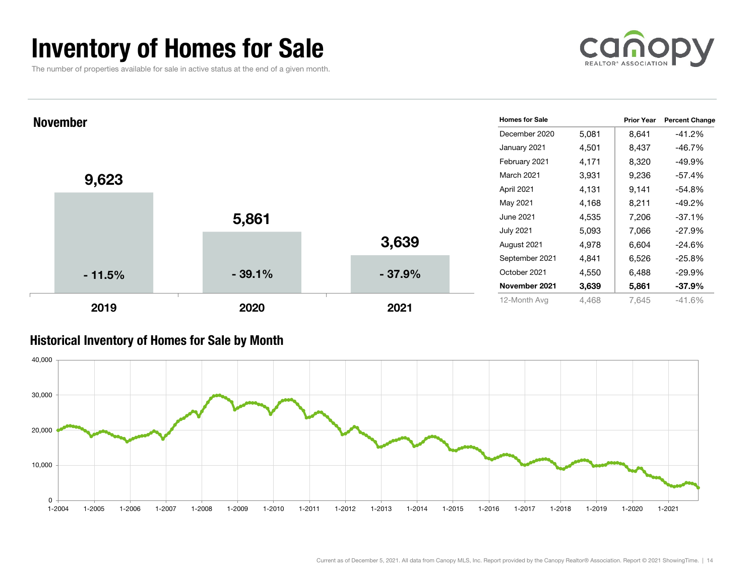### Inventory of Homes for Sale

The number of properties available for sale in active status at the end of a given month.





#### Historical Inventory of Homes for Sale by Month